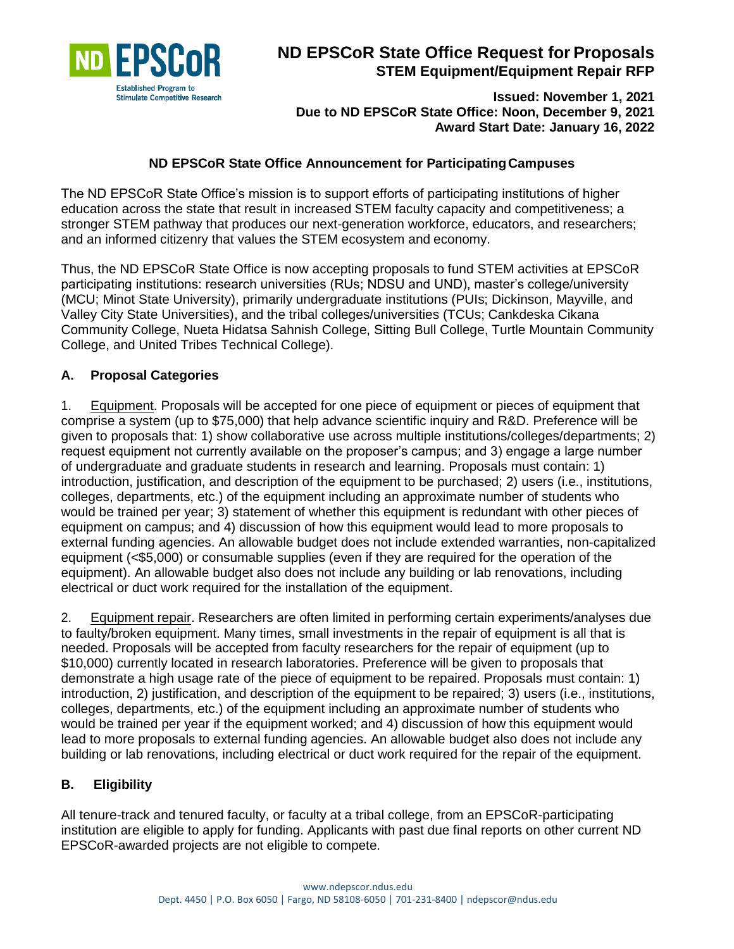

# **ND EPSCoR State Office Request for Proposals STEM Equipment/Equipment Repair RFP**

**Issued: November 1, 2021 Due to ND EPSCoR State Office: Noon, December 9, 2021 Award Start Date: January 16, 2022**

#### **ND EPSCoR State Office Announcement for ParticipatingCampuses**

The ND EPSCoR State Office's mission is to support efforts of participating institutions of higher education across the state that result in increased STEM faculty capacity and competitiveness; a stronger STEM pathway that produces our next-generation workforce, educators, and researchers; and an informed citizenry that values the STEM ecosystem and economy.

Thus, the ND EPSCoR State Office is now accepting proposals to fund STEM activities at EPSCoR participating institutions: research universities (RUs; NDSU and UND), master's college/university (MCU; Minot State University), primarily undergraduate institutions (PUIs; Dickinson, Mayville, and Valley City State Universities), and the tribal colleges/universities (TCUs; Cankdeska Cikana Community College, Nueta Hidatsa Sahnish College, Sitting Bull College, Turtle Mountain Community College, and United Tribes Technical College).

#### **A. Proposal Categories**

1. Equipment. Proposals will be accepted for one piece of equipment or pieces of equipment that comprise a system (up to \$75,000) that help advance scientific inquiry and R&D. Preference will be given to proposals that: 1) show collaborative use across multiple institutions/colleges/departments; 2) request equipment not currently available on the proposer's campus; and 3) engage a large number of undergraduate and graduate students in research and learning. Proposals must contain: 1) introduction, justification, and description of the equipment to be purchased; 2) users (i.e., institutions, colleges, departments, etc.) of the equipment including an approximate number of students who would be trained per year; 3) statement of whether this equipment is redundant with other pieces of equipment on campus; and 4) discussion of how this equipment would lead to more proposals to external funding agencies. An allowable budget does not include extended warranties, non-capitalized equipment (<\$5,000) or consumable supplies (even if they are required for the operation of the equipment). An allowable budget also does not include any building or lab renovations, including electrical or duct work required for the installation of the equipment.

2. Equipment repair. Researchers are often limited in performing certain experiments/analyses due to faulty/broken equipment. Many times, small investments in the repair of equipment is all that is needed. Proposals will be accepted from faculty researchers for the repair of equipment (up to \$10,000) currently located in research laboratories. Preference will be given to proposals that demonstrate a high usage rate of the piece of equipment to be repaired. Proposals must contain: 1) introduction, 2) justification, and description of the equipment to be repaired; 3) users (i.e., institutions, colleges, departments, etc.) of the equipment including an approximate number of students who would be trained per year if the equipment worked; and 4) discussion of how this equipment would lead to more proposals to external funding agencies. An allowable budget also does not include any building or lab renovations, including electrical or duct work required for the repair of the equipment.

#### **B. Eligibility**

All tenure-track and tenured faculty, or faculty at a tribal college, from an EPSCoR-participating institution are eligible to apply for funding. Applicants with past due final reports on other current ND EPSCoR-awarded projects are not eligible to compete.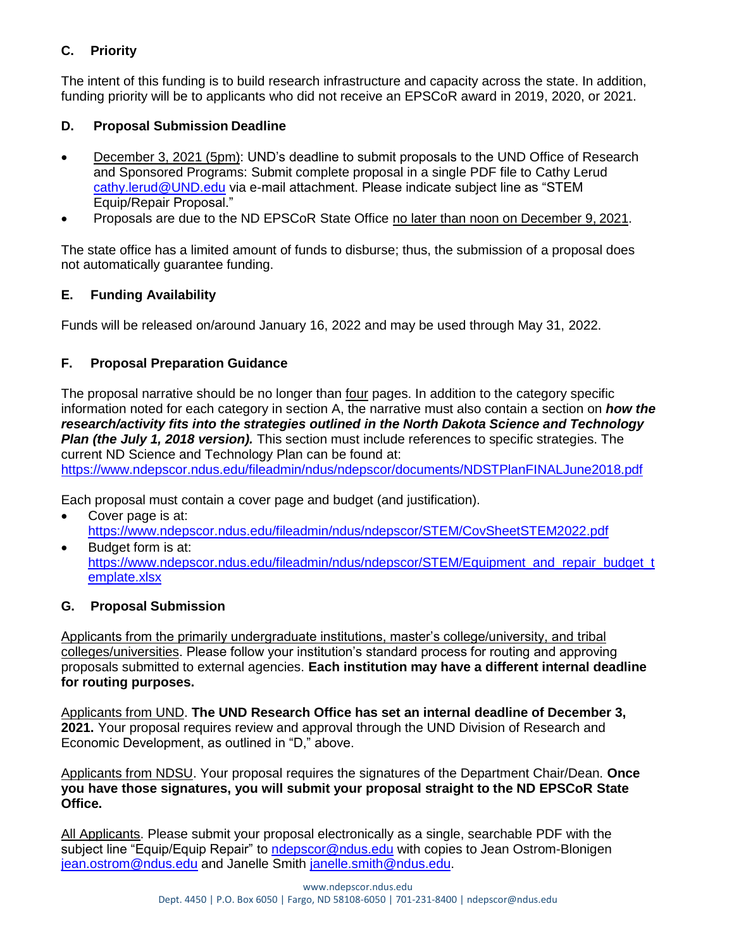# **C. Priority**

The intent of this funding is to build research infrastructure and capacity across the state. In addition, funding priority will be to applicants who did not receive an EPSCoR award in 2019, 2020, or 2021.

# **D. Proposal Submission Deadline**

- December 3, 2021 (5pm): UND's deadline to submit proposals to the UND Office of Research and Sponsored Programs: Submit complete proposal in a single PDF file to Cathy Lerud [cathy.lerud@UND.edu](mailto:cathy.lerud@UND.edu) via e-mail attachment. Please indicate subject line as "STEM Equip/Repair Proposal."
- Proposals are due to the ND EPSCoR State Office no later than noon on December 9, 2021.

The state office has a limited amount of funds to disburse; thus, the submission of a proposal does not automatically guarantee funding.

# **E. Funding Availability**

Funds will be released on/around January 16, 2022 and may be used through May 31, 2022.

## **F. Proposal Preparation Guidance**

The proposal narrative should be no longer than <u>four</u> pages. In addition to the category specific information noted for each category in section A, the narrative must also contain a section on *how the research/activity fits into the strategies outlined in the North Dakota Science and Technology Plan (the July 1, 2018 version).* This section must include references to specific strategies. The current ND Science and Technology Plan can be found at:

<https://www.ndepscor.ndus.edu/fileadmin/ndus/ndepscor/documents/NDSTPlanFINALJune2018.pdf>

Each proposal must contain a cover page and budget (and justification).

- Cover page is at: <https://www.ndepscor.ndus.edu/fileadmin/ndus/ndepscor/STEM/CovSheetSTEM2022.pdf>
- Budget form is at: [https://www.ndepscor.ndus.edu/fileadmin/ndus/ndepscor/STEM/Equipment\\_and\\_repair\\_budget\\_t](https://www.ndepscor.ndus.edu/fileadmin/ndus/ndepscor/STEM/Equipment_and_repair_budget_template.xlsx) [emplate.xlsx](https://www.ndepscor.ndus.edu/fileadmin/ndus/ndepscor/STEM/Equipment_and_repair_budget_template.xlsx)

## **G. Proposal Submission**

Applicants from the primarily undergraduate institutions, master's college/university, and tribal colleges/universities. Please follow your institution's standard process for routing and approving proposals submitted to external agencies. **Each institution may have a different internal deadline for routing purposes.**

Applicants from UND. **The UND Research Office has set an internal deadline of December 3, 2021.** Your proposal requires review and approval through the UND Division of Research and Economic Development, as outlined in "D," above.

Applicants from NDSU. Your proposal requires the signatures of the Department Chair/Dean. **Once you have those signatures, you will submit your proposal straight to the ND EPSCoR State Office.** 

All Applicants. Please submit your proposal electronically as a single, searchable PDF with the subject line "Equip/Equip Repair" to [ndepscor@ndus.edu](mailto:ndepscor@ndus.edu) with copies to Jean Ostrom-Blonigen [jean.ostrom@ndus.edu](mailto:jean.ostrom@ndus.edu) and Janelle Smith [janelle.smith@ndus.edu.](mailto:janelle.smith@ndus.edu)